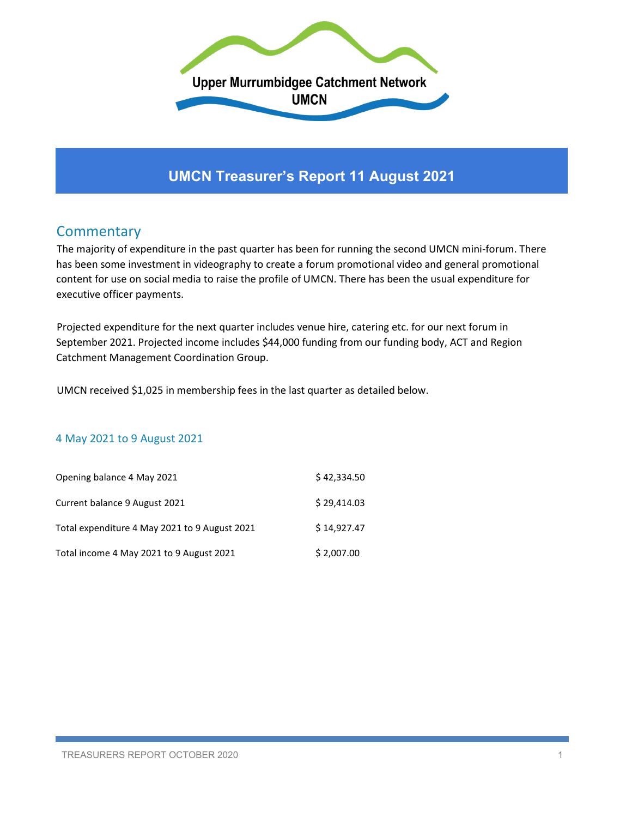

# **UMCN Treasurer's Report 11 August 2021**

## **Commentary**

The majority of expenditure in the past quarter has been for running the second UMCN mini-forum. There has been some investment in videography to create a forum promotional video and general promotional content for use on social media to raise the profile of UMCN. There has been the usual expenditure for executive officer payments.

Projected expenditure for the next quarter includes venue hire, catering etc. for our next forum in September 2021. Projected income includes \$44,000 funding from our funding body, ACT and Region Catchment Management Coordination Group.

UMCN received \$1,025 in membership fees in the last quarter as detailed below.

#### 4 May 2021 to 9 August 2021

| Opening balance 4 May 2021                    | \$42,334.50 |
|-----------------------------------------------|-------------|
| Current balance 9 August 2021                 | \$29,414.03 |
| Total expenditure 4 May 2021 to 9 August 2021 | \$14.927.47 |
| Total income 4 May 2021 to 9 August 2021      | \$2,007.00  |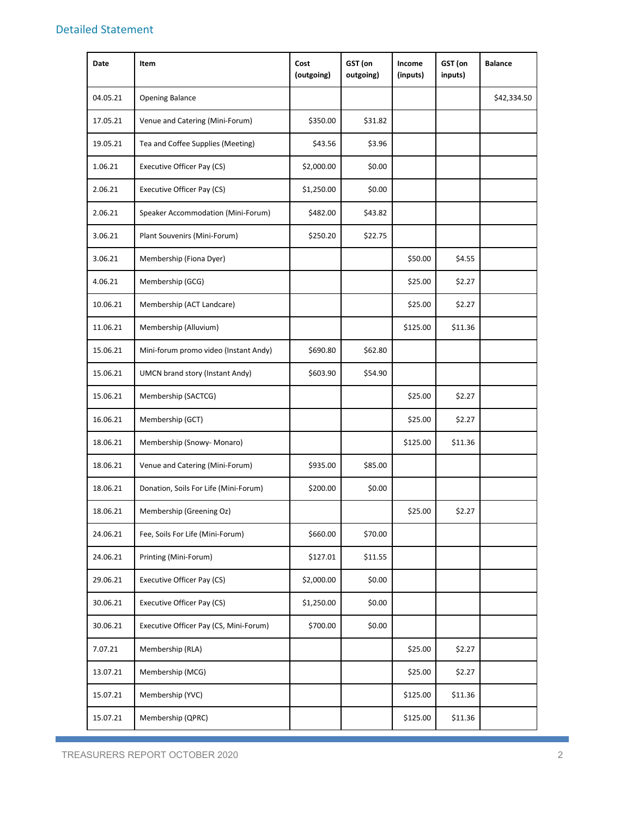#### Detailed Statement

| <b>Date</b> | Item                                   | Cost<br>(outgoing) | GST (on<br>outgoing) | Income<br>(inputs) | GST (on<br>inputs) | <b>Balance</b> |
|-------------|----------------------------------------|--------------------|----------------------|--------------------|--------------------|----------------|
| 04.05.21    | <b>Opening Balance</b>                 |                    |                      |                    |                    | \$42,334.50    |
| 17.05.21    | Venue and Catering (Mini-Forum)        | \$350.00           | \$31.82              |                    |                    |                |
| 19.05.21    | Tea and Coffee Supplies (Meeting)      | \$43.56            | \$3.96               |                    |                    |                |
| 1.06.21     | Executive Officer Pay (CS)             | \$2,000.00         | \$0.00               |                    |                    |                |
| 2.06.21     | Executive Officer Pay (CS)             | \$1,250.00         | \$0.00               |                    |                    |                |
| 2.06.21     | Speaker Accommodation (Mini-Forum)     | \$482.00           | \$43.82              |                    |                    |                |
| 3.06.21     | Plant Souvenirs (Mini-Forum)           | \$250.20           | \$22.75              |                    |                    |                |
| 3.06.21     | Membership (Fiona Dyer)                |                    |                      | \$50.00            | \$4.55             |                |
| 4.06.21     | Membership (GCG)                       |                    |                      | \$25.00            | \$2.27             |                |
| 10.06.21    | Membership (ACT Landcare)              |                    |                      | \$25.00            | \$2.27             |                |
| 11.06.21    | Membership (Alluvium)                  |                    |                      | \$125.00           | \$11.36            |                |
| 15.06.21    | Mini-forum promo video (Instant Andy)  | \$690.80           | \$62.80              |                    |                    |                |
| 15.06.21    | UMCN brand story (Instant Andy)        | \$603.90           | \$54.90              |                    |                    |                |
| 15.06.21    | Membership (SACTCG)                    |                    |                      | \$25.00            | \$2.27             |                |
| 16.06.21    | Membership (GCT)                       |                    |                      | \$25.00            | \$2.27             |                |
| 18.06.21    | Membership (Snowy- Monaro)             |                    |                      | \$125.00           | \$11.36            |                |
| 18.06.21    | Venue and Catering (Mini-Forum)        | \$935.00           | \$85.00              |                    |                    |                |
| 18.06.21    | Donation, Soils For Life (Mini-Forum)  | \$200.00           | \$0.00               |                    |                    |                |
| 18.06.21    | Membership (Greening Oz)               |                    |                      | \$25.00            | \$2.27             |                |
| 24.06.21    | Fee, Soils For Life (Mini-Forum)       | \$660.00           | \$70.00              |                    |                    |                |
| 24.06.21    | Printing (Mini-Forum)                  | \$127.01           | \$11.55              |                    |                    |                |
| 29.06.21    | <b>Executive Officer Pay (CS)</b>      | \$2,000.00         | \$0.00               |                    |                    |                |
| 30.06.21    | Executive Officer Pay (CS)             | \$1,250.00         | \$0.00               |                    |                    |                |
| 30.06.21    | Executive Officer Pay (CS, Mini-Forum) | \$700.00           | \$0.00               |                    |                    |                |
| 7.07.21     | Membership (RLA)                       |                    |                      | \$25.00            | \$2.27             |                |
| 13.07.21    | Membership (MCG)                       |                    |                      | \$25.00            | \$2.27             |                |
| 15.07.21    | Membership (YVC)                       |                    |                      | \$125.00           | \$11.36            |                |
| 15.07.21    | Membership (QPRC)                      |                    |                      | \$125.00           | \$11.36            |                |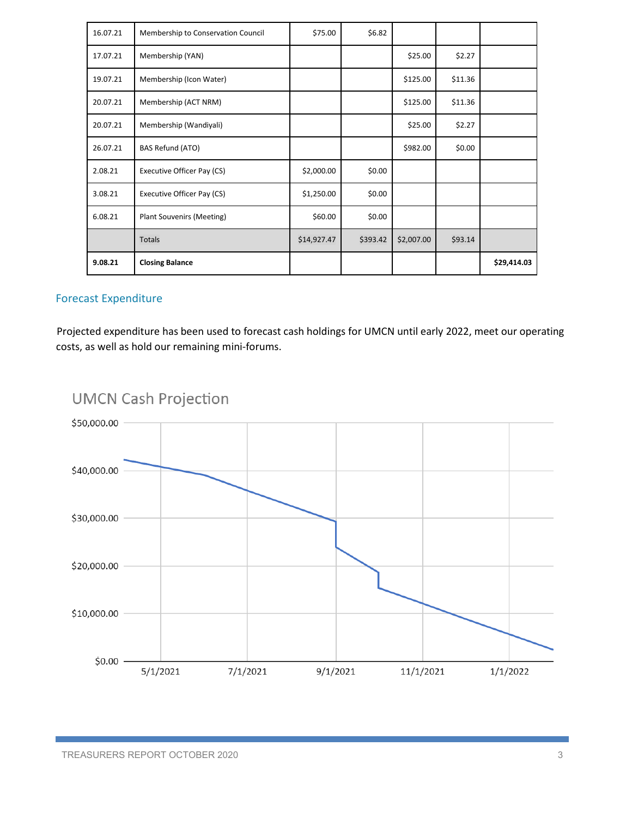| 16.07.21 | Membership to Conservation Council | \$75.00     | \$6.82   |            |         |             |
|----------|------------------------------------|-------------|----------|------------|---------|-------------|
| 17.07.21 | Membership (YAN)                   |             |          | \$25.00    | \$2.27  |             |
| 19.07.21 | Membership (Icon Water)            |             |          | \$125.00   | \$11.36 |             |
| 20.07.21 | Membership (ACT NRM)               |             |          | \$125.00   | \$11.36 |             |
| 20.07.21 | Membership (Wandiyali)             |             |          | \$25.00    | \$2.27  |             |
| 26.07.21 | BAS Refund (ATO)                   |             |          | \$982.00   | \$0.00  |             |
| 2.08.21  | Executive Officer Pay (CS)         | \$2,000.00  | \$0.00   |            |         |             |
| 3.08.21  | Executive Officer Pay (CS)         | \$1,250.00  | \$0.00   |            |         |             |
| 6.08.21  | Plant Souvenirs (Meeting)          | \$60.00     | \$0.00   |            |         |             |
|          | <b>Totals</b>                      | \$14,927.47 | \$393.42 | \$2,007.00 | \$93.14 |             |
| 9.08.21  | <b>Closing Balance</b>             |             |          |            |         | \$29,414.03 |

### Forecast Expenditure

Projected expenditure has been used to forecast cash holdings for UMCN until early 2022, meet our operating costs, as well as hold our remaining mini-forums.